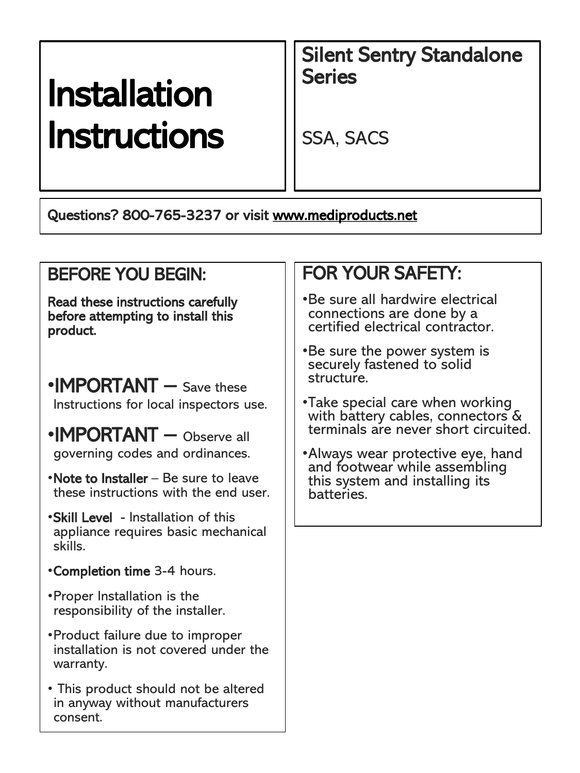# Installation Instructions

Silent Sentry Standalone **Series** 

SSA, SACS

Questions? 800-765-3237 or visit [www.mediproducts.net](http://www.mediproducts.net/)

#### BEFORE YOU BEGIN:

Read these instructions carefully before attempting to install this product.

- •**IMPORTANT** Save these Instructions for local inspectors use.
- •IMPORTANT Observe all governing codes and ordinances.
- •Note to Installer Be sure to leave these instructions with the end user.
- •Skill Level Installation of this appliance requires basic mechanical skills.
- •Completion time 3-4 hours.
- •Proper Installation is the responsibility of the installer.
- •Product failure due to improper installation is not covered under the warranty.
- This product should not be altered in anyway without manufacturers consent.

### FOR YOUR SAFETY:

- •Be sure all hardwire electrical connections are done by a certified electrical contractor.
- •Be sure the power system is securely fastened to solid structure.
- •Take special care when working with battery cables, connectors & terminals are never short circuited.
- •Always wear protective eye, hand and footwear while assembling this system and installing its batteries.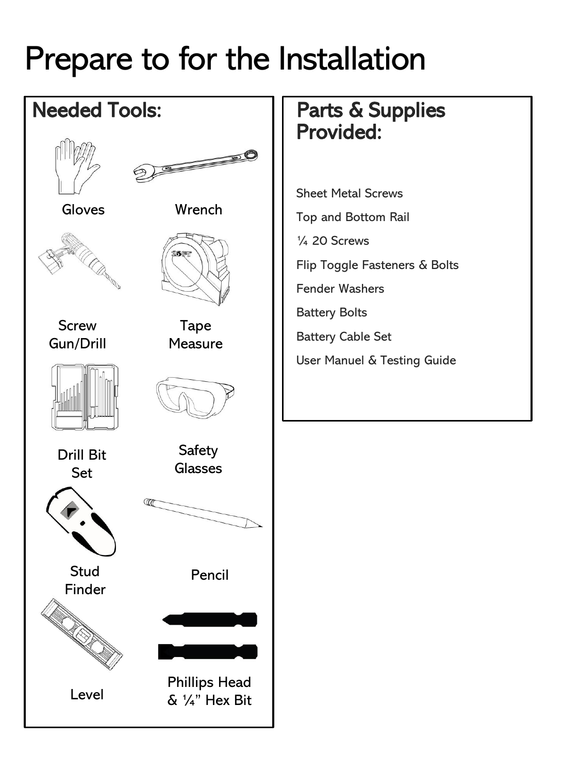## Prepare to for the Installation

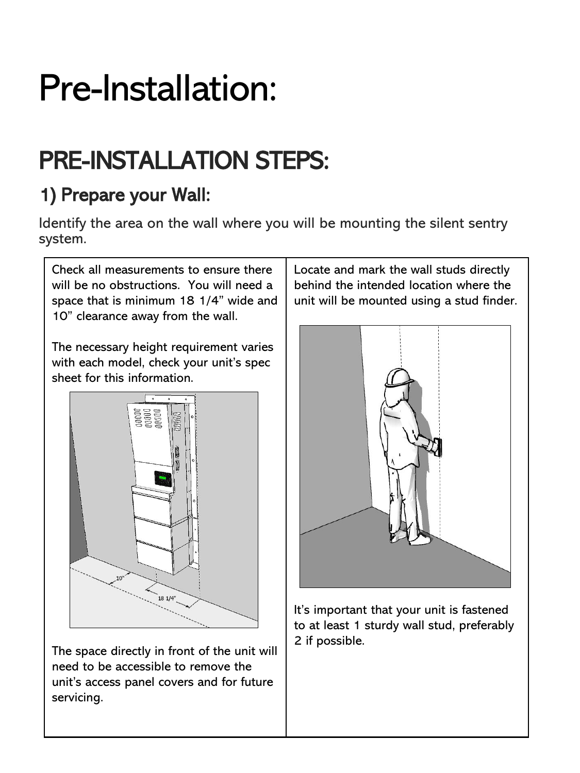# Pre-Installation:

## PRE-INSTALLATION STEPS:

## 1) Prepare your Wall:

Identify the area on the wall where you will be mounting the silent sentry system.

Check all measurements to ensure there will be no obstructions. You will need a space that is minimum 18 1/4" wide and 10" clearance away from the wall.

The necessary height requirement varies with each model, check your unit's spec sheet for this information.



The space directly in front of the unit will need to be accessible to remove the unit's access panel covers and for future servicing.

Locate and mark the wall studs directly behind the intended location where the unit will be mounted using a stud finder.



It's important that your unit is fastened to at least 1 sturdy wall stud, preferably 2 if possible.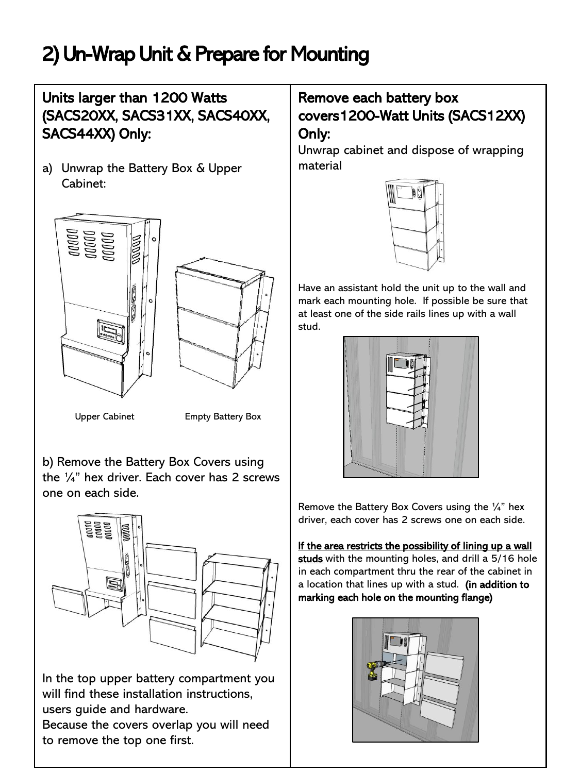## 2) Un-Wrap Unit & Prepare for Mounting

#### Units larger than 1200 Watts (SACS20XX, SACS31XX, SACS40XX, SACS44XX) Only:

a) Unwrap the Battery Box & Upper Cabinet:





Upper Cabinet Empty Battery Box

b) Remove the Battery Box Covers using the ¼" hex driver. Each cover has 2 screws one on each side.



In the top upper battery compartment you will find these installation instructions, users guide and hardware.

Because the covers overlap you will need to remove the top one first.

#### Remove each battery box covers1200-Watt Units (SACS12XX) Only:

Unwrap cabinet and dispose of wrapping material



Have an assistant hold the unit up to the wall and mark each mounting hole. If possible be sure that at least one of the side rails lines up with a wall stud.



Remove the Battery Box Covers using the ¼" hex driver, each cover has 2 screws one on each side.

If the area restricts the possibility of lining up a wall studs with the mounting holes, and drill a 5/16 hole in each compartment thru the rear of the cabinet in a location that lines up with a stud. (in addition to marking each hole on the mounting flange)

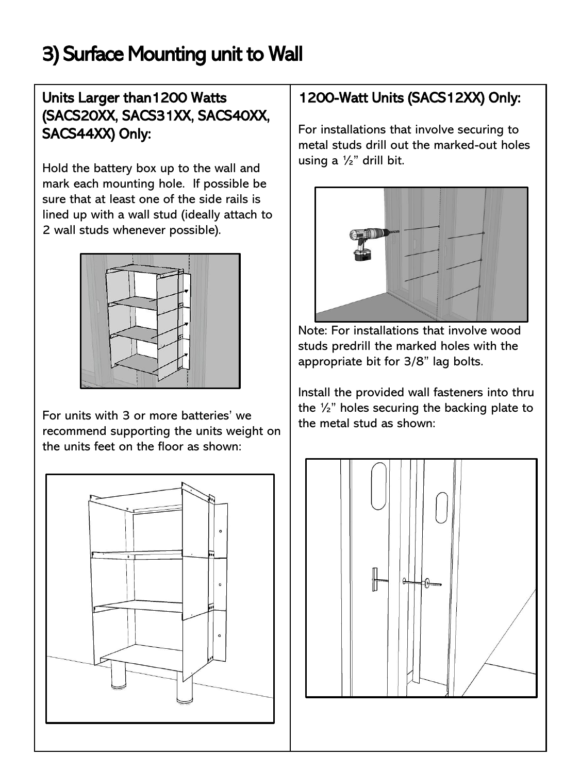## 3) Surface Mounting unit to Wall

#### Units Larger than1200 Watts (SACS20XX, SACS31XX, SACS40XX, SACS44XX) Only:

Hold the battery box up to the wall and mark each mounting hole. If possible be sure that at least one of the side rails is lined up with a wall stud (ideally attach to 2 wall studs whenever possible).



For units with 3 or more batteries' we recommend supporting the units weight on the units feet on the floor as shown:



#### 1200-Watt Units (SACS12XX) Only:

For installations that involve securing to metal studs drill out the marked-out holes using a  $\frac{1}{2}$ " drill bit.



Note: For installations that involve wood studs predrill the marked holes with the appropriate bit for 3/8" lag bolts.

Install the provided wall fasteners into thru the ½" holes securing the backing plate to the metal stud as shown:

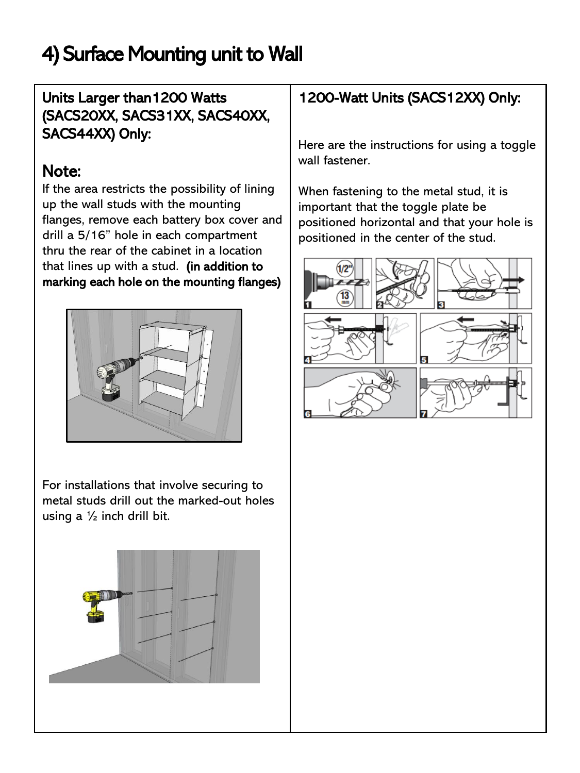## 4) Surface Mounting unit to Wall

#### Units Larger than1200 Watts (SACS20XX, SACS31XX, SACS40XX, SACS44XX) Only:

#### Note:

If the area restricts the possibility of lining up the wall studs with the mounting flanges, remove each battery box cover and drill a 5/16" hole in each compartment thru the rear of the cabinet in a location that lines up with a stud. (in addition to marking each hole on the mounting flanges)



For installations that involve securing to metal studs drill out the marked-out holes using a  $\frac{1}{2}$  inch drill bit.



#### 1200-Watt Units (SACS12XX) Only:

Here are the instructions for using a toggle wall fastener.

When fastening to the metal stud, it is important that the toggle plate be positioned horizontal and that your hole is positioned in the center of the stud.

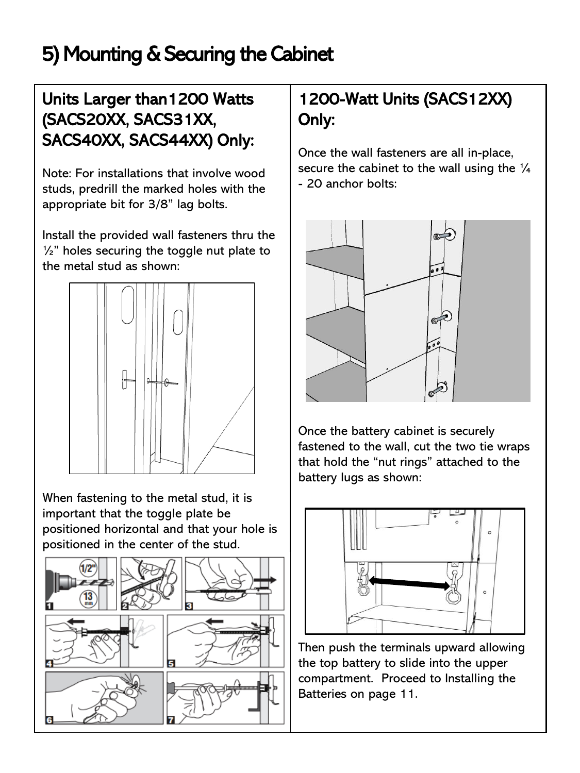## 5) Mounting & Securing the Cabinet

#### Units Larger than1200 Watts (SACS20XX, SACS31XX, SACS40XX, SACS44XX) Only:

Note: For installations that involve wood studs, predrill the marked holes with the appropriate bit for 3/8" lag bolts.

Install the provided wall fasteners thru the  $\frac{1}{2}$ " holes securing the toggle nut plate to the metal stud as shown:



When fastening to the metal stud, it is important that the toggle plate be positioned horizontal and that your hole is positioned in the center of the stud.



#### 1200-Watt Units (SACS12XX) Only:

Once the wall fasteners are all in-place, secure the cabinet to the wall using the  $\frac{1}{4}$ - 20 anchor bolts:



Once the battery cabinet is securely fastened to the wall, cut the two tie wraps that hold the "nut rings" attached to the battery lugs as shown:



Then push the terminals upward allowing the top battery to slide into the upper compartment. Proceed to Installing the Batteries on page 11.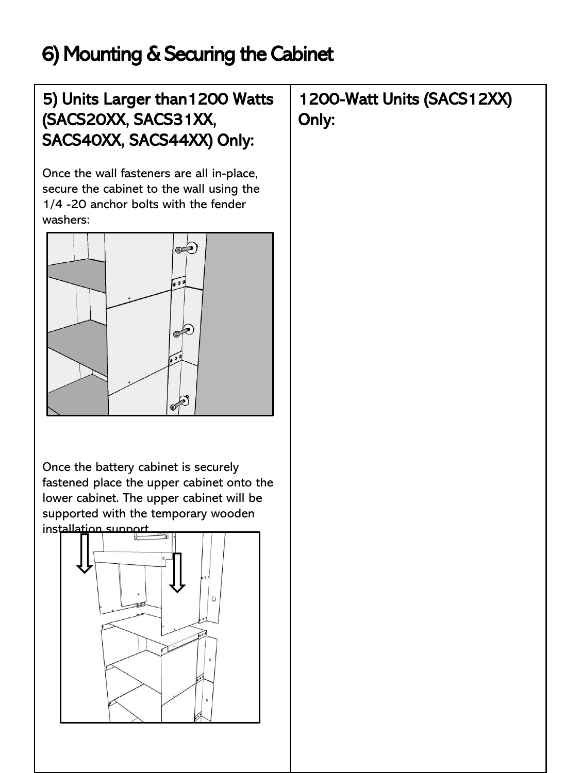## 6) Mounting & Securing the Cabinet

#### 5) Units Larger than1200 Watts (SACS20XX, SACS31XX, SACS40XX, SACS44XX) Only:

Once the wall fasteners are all in-place, secure the cabinet to the wall using the 1/4 -20 anchor bolts with the fender washers:



Once the battery cabinet is securely fastened place the upper cabinet onto the lower cabinet. The upper cabinet will be supported with the temporary wooden installation support.



1200-Watt Units (SACS12XX) Only: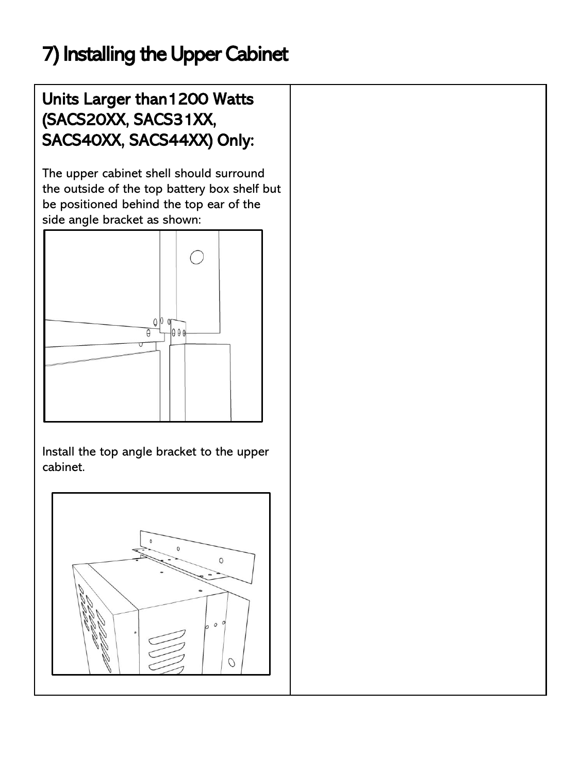## 7) Installing the Upper Cabinet

#### Units Larger than1200 Watts (SACS20XX, SACS31XX, SACS40XX, SACS44XX) Only:

The upper cabinet shell should surround the outside of the top battery box shelf but be positioned behind the top ear of the side angle bracket as shown:



Install the top angle bracket to the upper cabinet.

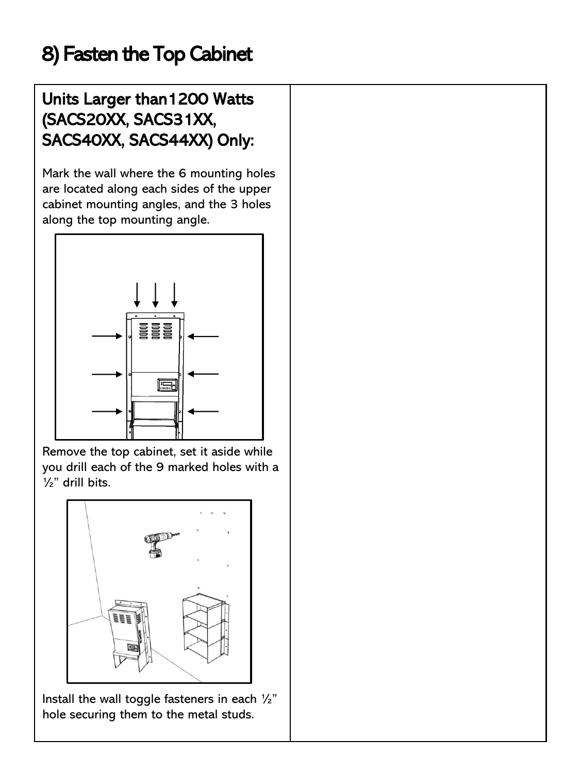## 8) Fasten the Top Cabinet

#### Units Larger than1200 Watts (SACS20XX, SACS31XX, SACS40XX, SACS44XX) Only:

Mark the wall where the 6 mounting holes are located along each sides of the upper cabinet mounting angles, and the 3 holes along the top mounting angle.



Remove the top cabinet, set it aside while you drill each of the 9 marked holes with a ½" drill bits.



Install the wall toggle fasteners in each  $\frac{1}{2}$ " hole securing them to the metal studs.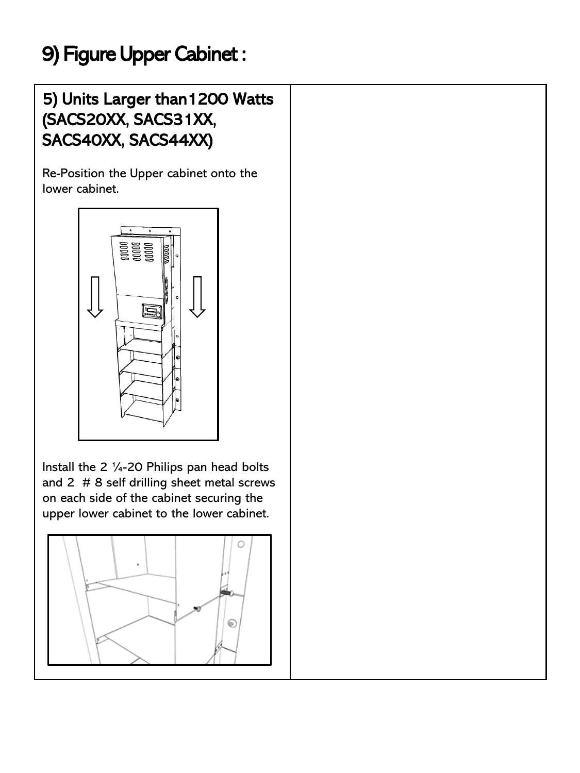## 9) Figure Upper Cabinet :

#### 5) Units Larger than1200 Watts (SACS20XX, SACS31XX, SACS40XX, SACS44XX)

Re-Position the Upper cabinet onto the lower cabinet.



Install the 2 ¼-20 Philips pan head bolts and 2 # 8 self drilling sheet metal screws on each side of the cabinet securing the upper lower cabinet to the lower cabinet.

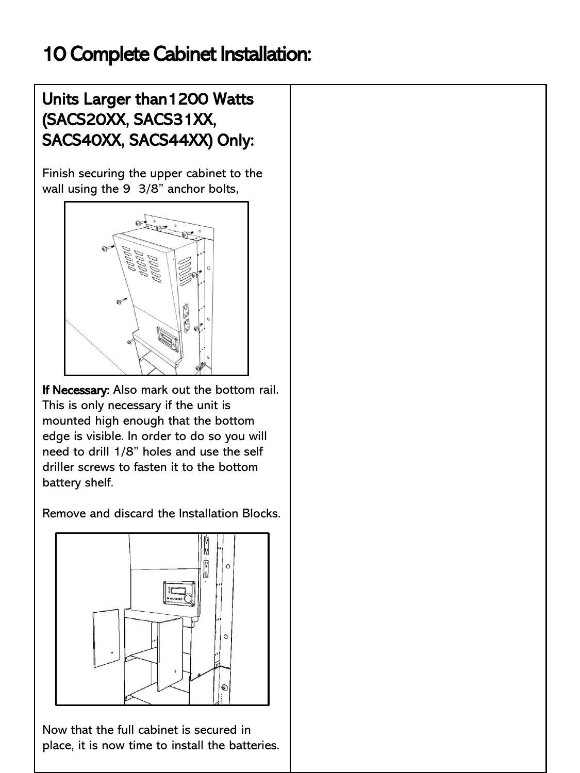## 10 Complete Cabinet Installation:

#### Units Larger than1200 Watts (SACS20XX, SACS31XX, SACS40XX, SACS44XX) Only:

Finish securing the upper cabinet to the wall using the 9 3/8" anchor bolts,



If Necessary: Also mark out the bottom rail. This is only necessary if the unit is mounted high enough that the bottom edge is visible. In order to do so you will need to drill 1/8" holes and use the self driller screws to fasten it to the bottom battery shelf.

Remove and discard the Installation Blocks.



Now that the full cabinet is secured in place, it is now time to install the batteries.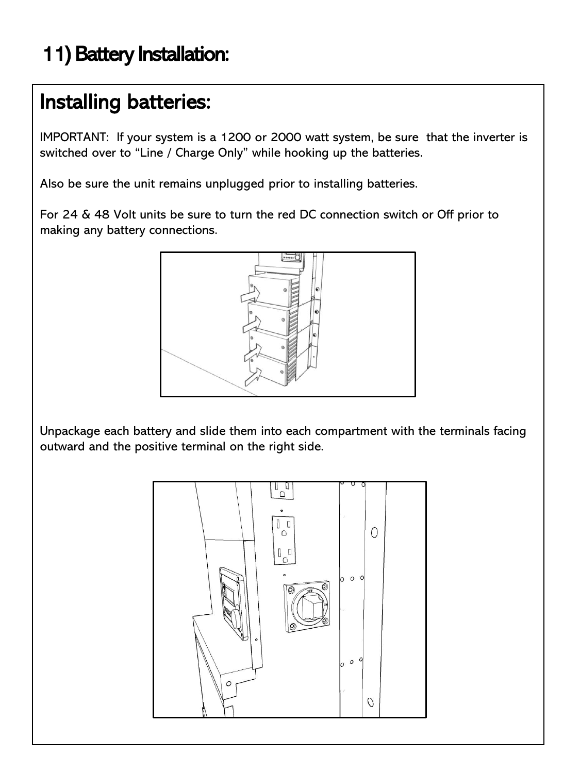## 11) Battery Installation:

## Installing batteries:

IMPORTANT: If your system is a 1200 or 2000 watt system, be sure that the inverter is switched over to "Line / Charge Only" while hooking up the batteries.

Also be sure the unit remains unplugged prior to installing batteries.

For 24 & 48 Volt units be sure to turn the red DC connection switch or Off prior to making any battery connections.



Unpackage each battery and slide them into each compartment with the terminals facing outward and the positive terminal on the right side.

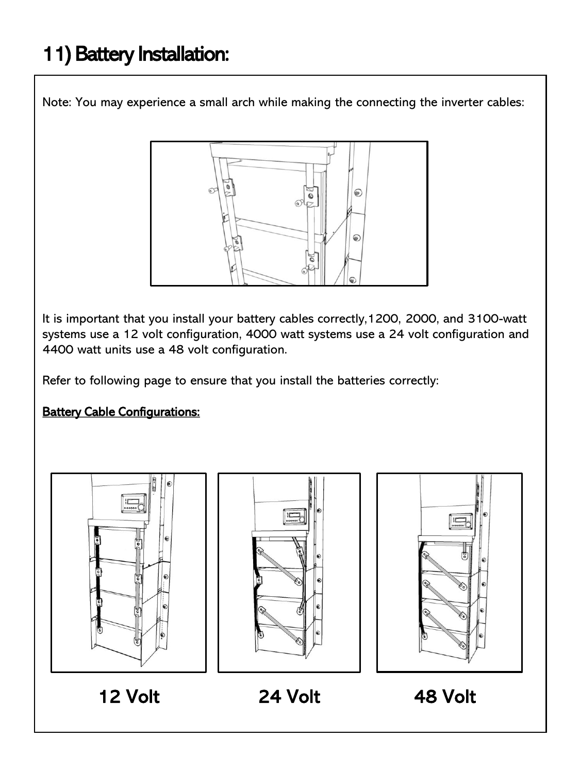## 11) Battery Installation:

Note: You may experience a small arch while making the connecting the inverter cables:



It is important that you install your battery cables correctly,1200, 2000, and 3100-watt systems use a 12 volt configuration, 4000 watt systems use a 24 volt configuration and 4400 watt units use a 48 volt configuration.

Refer to following page to ensure that you install the batteries correctly:

#### **Battery Cable Configurations:**







12 Volt 24 Volt 48 Volt